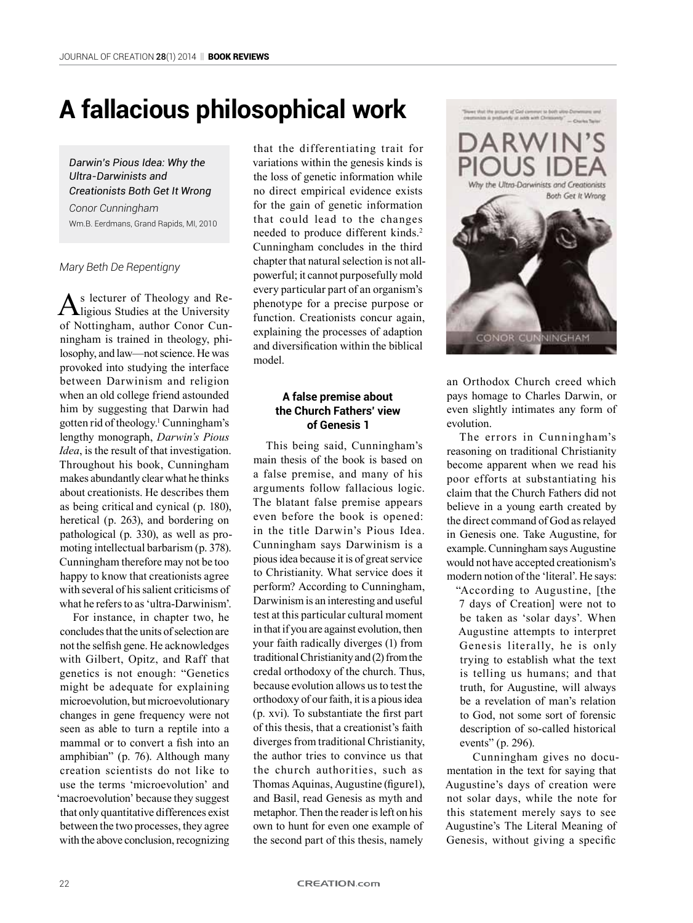# **A fallacious philosophical work**

*Darwin's Pious Idea: Why the Ultra-Darwinists and Creationists Both Get It Wrong*

*Conor Cunningham* Wm.B. Eerdmans, Grand Rapids, MI, 2010

*Mary Beth De Repentigny*

As lecturer of Theology and Re-<br>ligious Studies at the University of Nottingham, author Conor Cunningham is trained in theology, philosophy, and law—not science. He was provoked into studying the interface between Darwinism and religion when an old college friend astounded him by suggesting that Darwin had gotten rid of theology.1 Cunningham's lengthy monograph, *Darwin's Pious Idea*, is the result of that investigation. Throughout his book, Cunningham makes abundantly clear what he thinks about creationists. He describes them as being critical and cynical (p. 180), heretical (p. 263), and bordering on pathological (p. 330), as well as promoting intellectual barbarism (p. 378). Cunningham therefore may not be too happy to know that creationists agree with several of his salient criticisms of what he refers to as 'ultra-Darwinism'.

For instance, in chapter two, he concludes that the units of selection are not the selfish gene. He acknowledges with Gilbert, Opitz, and Raff that genetics is not enough: "Genetics might be adequate for explaining microevolution, but microevolutionary changes in gene frequency were not seen as able to turn a reptile into a mammal or to convert a fish into an amphibian" (p. 76). Although many creation scientists do not like to use the terms 'microevolution' and 'macroevolution' because they suggest that only quantitative differences exist between the two processes, they agree with the above conclusion, recognizing that the differentiating trait for variations within the genesis kinds is the loss of genetic information while no direct empirical evidence exists for the gain of genetic information that could lead to the changes needed to produce different kinds.2 Cunningham concludes in the third chapter that natural selection is not allpowerful; it cannot purposefully mold every particular part of an organism's phenotype for a precise purpose or function. Creationists concur again, explaining the processes of adaption and diversification within the biblical model.

# **A false premise about the Church Fathers' view of Genesis 1**

This being said, Cunningham's main thesis of the book is based on a false premise, and many of his arguments follow fallacious logic. The blatant false premise appears even before the book is opened: in the title Darwin's Pious Idea. Cunningham says Darwinism is a pious idea because it is of great service to Christianity. What service does it perform? According to Cunningham, Darwinism is an interesting and useful test at this particular cultural moment in that if you are against evolution, then your faith radically diverges (1) from traditional Christianity and (2) from the credal orthodoxy of the church. Thus, because evolution allows us to test the orthodoxy of our faith, it is a pious idea (p. xvi). To substantiate the first part of this thesis, that a creationist's faith diverges from traditional Christianity, the author tries to convince us that the church authorities, such as Thomas Aquinas, Augustine (figure1), and Basil, read Genesis as myth and metaphor. Then the reader is left on his own to hunt for even one example of the second part of this thesis, namely



an Orthodox Church creed which pays homage to Charles Darwin, or even slightly intimates any form of evolution.

The errors in Cunningham's reasoning on traditional Christianity become apparent when we read his poor efforts at substantiating his claim that the Church Fathers did not believe in a young earth created by the direct command of God as relayed in Genesis one. Take Augustine, for example. Cunningham says Augustine would not have accepted creationism's modern notion of the 'literal'. He says:

"According to Augustine, [the 7 days of Creation] were not to be taken as 'solar days'. When Augustine attempts to interpret Genesis literally, he is only trying to establish what the text is telling us humans; and that truth, for Augustine, will always be a revelation of man's relation to God, not some sort of forensic description of so-called historical events" (p. 296).

Cunningham gives no documentation in the text for saying that Augustine's days of creation were not solar days, while the note for this statement merely says to see Augustine's The Literal Meaning of Genesis, without giving a specific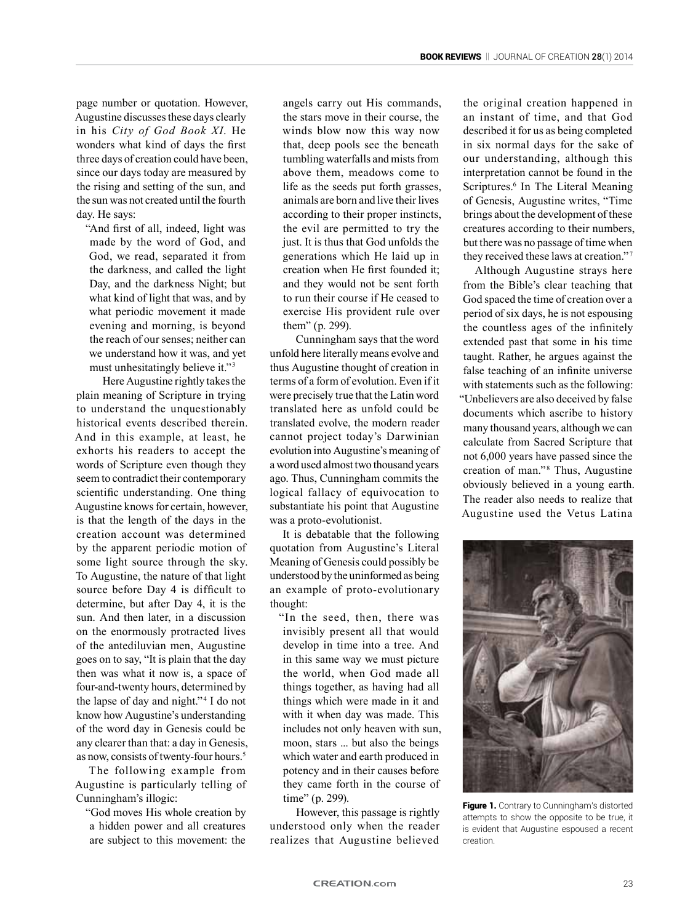page number or quotation. However, Augustine discusses these days clearly in his *City of God Book XI*. He wonders what kind of days the first three days of creation could have been, since our days today are measured by the rising and setting of the sun, and the sun was not created until the fourth day. He says:

"And first of all, indeed, light was made by the word of God, and God, we read, separated it from the darkness, and called the light Day, and the darkness Night; but what kind of light that was, and by what periodic movement it made evening and morning, is beyond the reach of our senses; neither can we understand how it was, and yet must unhesitatingly believe it." <sup>3</sup>

Here Augustine rightly takes the plain meaning of Scripture in trying to understand the unquestionably historical events described therein. And in this example, at least, he exhorts his readers to accept the words of Scripture even though they seem to contradict their contemporary scientific understanding. One thing Augustine knows for certain, however, is that the length of the days in the creation account was determined by the apparent periodic motion of some light source through the sky. To Augustine, the nature of that light source before Day 4 is difficult to determine, but after Day 4, it is the sun. And then later, in a discussion on the enormously protracted lives of the antediluvian men, Augustine goes on to say, "It is plain that the day then was what it now is, a space of four-and-twenty hours, determined by the lapse of day and night."<sup>4</sup> I do not know how Augustine's understanding of the word day in Genesis could be any clearer than that: a day in Genesis, as now, consists of twenty-four hours.<sup>5</sup>

The following example from Augustine is particularly telling of Cunningham's illogic:

"God moves His whole creation by a hidden power and all creatures are subject to this movement: the

angels carry out His commands, the stars move in their course, the winds blow now this way now that, deep pools see the beneath tumbling waterfalls and mists from above them, meadows come to life as the seeds put forth grasses, animals are born and live their lives according to their proper instincts, the evil are permitted to try the just. It is thus that God unfolds the generations which He laid up in creation when He first founded it; and they would not be sent forth to run their course if He ceased to exercise His provident rule over them" (p. 299).

Cunningham says that the word unfold here literally means evolve and thus Augustine thought of creation in terms of a form of evolution. Even if it were precisely true that the Latin word translated here as unfold could be translated evolve, the modern reader cannot project today's Darwinian evolution into Augustine's meaning of a word used almost two thousand years ago. Thus, Cunningham commits the logical fallacy of equivocation to substantiate his point that Augustine was a proto-evolutionist.

It is debatable that the following quotation from Augustine's Literal Meaning of Genesis could possibly be understood by the uninformed as being an example of proto-evolutionary thought:

"In the seed, then, there was invisibly present all that would develop in time into a tree. And in this same way we must picture the world, when God made all things together, as having had all things which were made in it and with it when day was made. This includes not only heaven with sun, moon, stars ... but also the beings which water and earth produced in potency and in their causes before they came forth in the course of time" (p. 299).

However, this passage is rightly understood only when the reader realizes that Augustine believed the original creation happened in an instant of time, and that God described it for us as being completed in six normal days for the sake of our understanding, although this interpretation cannot be found in the Scriptures.<sup>6</sup> In The Literal Meaning of Genesis, Augustine writes, "Time brings about the development of these creatures according to their numbers, but there was no passage of time when they received these laws at creation."<sup>7</sup>

Although Augustine strays here from the Bible's clear teaching that God spaced the time of creation over a period of six days, he is not espousing the countless ages of the infinitely extended past that some in his time taught. Rather, he argues against the false teaching of an infinite universe with statements such as the following: "Unbelievers are also deceived by false documents which ascribe to history many thousand years, although we can calculate from Sacred Scripture that not 6,000 years have passed since the creation of man."<sup>8</sup> Thus, Augustine obviously believed in a young earth. The reader also needs to realize that Augustine used the Vetus Latina



Figure 1. Contrary to Cunningham's distorted attempts to show the opposite to be true, it is evident that Augustine espoused a recent creation.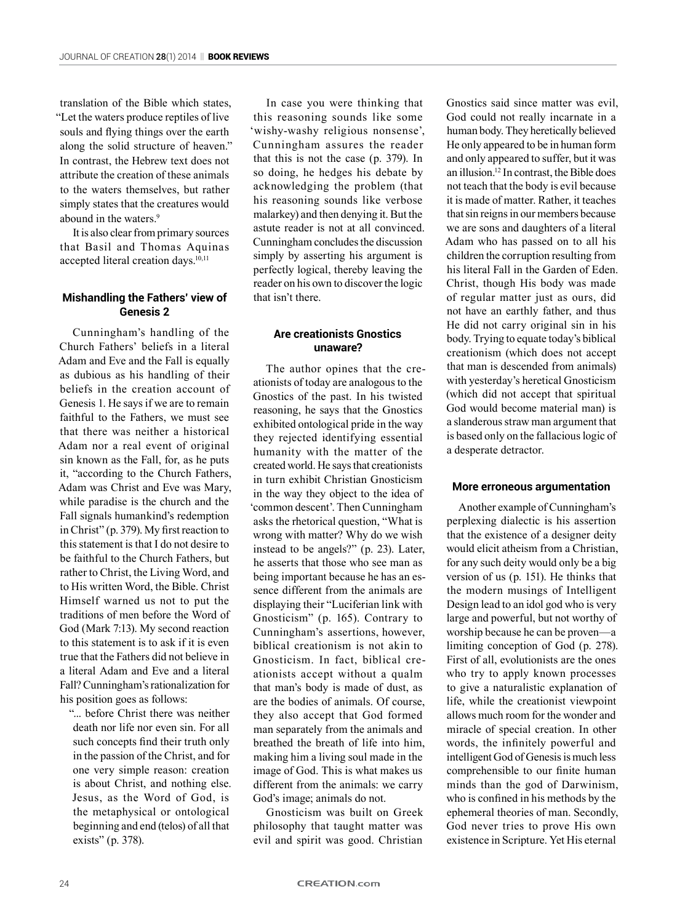translation of the Bible which states, "Let the waters produce reptiles of live souls and flying things over the earth along the solid structure of heaven." In contrast, the Hebrew text does not attribute the creation of these animals to the waters themselves, but rather simply states that the creatures would abound in the waters.<sup>9</sup>

It is also clear from primary sources that Basil and Thomas Aquinas accepted literal creation days.<sup>10,11</sup>

## **Mishandling the Fathers' view of Genesis 2**

Cunningham's handling of the Church Fathers' beliefs in a literal Adam and Eve and the Fall is equally as dubious as his handling of their beliefs in the creation account of Genesis 1. He says if we are to remain faithful to the Fathers, we must see that there was neither a historical Adam nor a real event of original sin known as the Fall, for, as he puts it, "according to the Church Fathers, Adam was Christ and Eve was Mary, while paradise is the church and the Fall signals humankind's redemption in Christ" (p. 379). My first reaction to this statement is that I do not desire to be faithful to the Church Fathers, but rather to Christ, the Living Word, and to His written Word, the Bible. Christ Himself warned us not to put the traditions of men before the Word of God (Mark 7:13). My second reaction to this statement is to ask if it is even true that the Fathers did not believe in a literal Adam and Eve and a literal Fall? Cunningham's rationalization for his position goes as follows:

"... before Christ there was neither death nor life nor even sin. For all such concepts find their truth only in the passion of the Christ, and for one very simple reason: creation is about Christ, and nothing else. Jesus, as the Word of God, is the metaphysical or ontological beginning and end (telos) of all that exists" (p. 378).

In case you were thinking that this reasoning sounds like some 'wishy-washy religious nonsense', Cunningham assures the reader that this is not the case (p. 379). In so doing, he hedges his debate by acknowledging the problem (that his reasoning sounds like verbose malarkey) and then denying it. But the astute reader is not at all convinced. Cunningham concludes the discussion simply by asserting his argument is perfectly logical, thereby leaving the reader on his own to discover the logic that isn't there.

## **Are creationists Gnostics unaware?**

The author opines that the creationists of today are analogous to the Gnostics of the past. In his twisted reasoning, he says that the Gnostics exhibited ontological pride in the way they rejected identifying essential humanity with the matter of the created world. He says that creationists in turn exhibit Christian Gnosticism in the way they object to the idea of 'common descent'. Then Cunningham asks the rhetorical question, "What is wrong with matter? Why do we wish instead to be angels?" (p. 23). Later, he asserts that those who see man as being important because he has an essence different from the animals are displaying their "Luciferian link with Gnosticism" (p. 165). Contrary to Cunningham's assertions, however, biblical creationism is not akin to Gnosticism. In fact, biblical creationists accept without a qualm that man's body is made of dust, as are the bodies of animals. Of course, they also accept that God formed man separately from the animals and breathed the breath of life into him, making him a living soul made in the image of God. This is what makes us different from the animals: we carry God's image; animals do not.

Gnosticism was built on Greek philosophy that taught matter was evil and spirit was good. Christian

Gnostics said since matter was evil, God could not really incarnate in a human body. They heretically believed He only appeared to be in human form and only appeared to suffer, but it was an illusion.12 In contrast, the Bible does not teach that the body is evil because it is made of matter. Rather, it teaches that sin reigns in our members because we are sons and daughters of a literal Adam who has passed on to all his children the corruption resulting from his literal Fall in the Garden of Eden. Christ, though His body was made of regular matter just as ours, did not have an earthly father, and thus He did not carry original sin in his body. Trying to equate today's biblical creationism (which does not accept that man is descended from animals) with yesterday's heretical Gnosticism (which did not accept that spiritual God would become material man) is a slanderous straw man argument that is based only on the fallacious logic of a desperate detractor.

#### **More erroneous argumentation**

Another example of Cunningham's perplexing dialectic is his assertion that the existence of a designer deity would elicit atheism from a Christian, for any such deity would only be a big version of us (p. 151). He thinks that the modern musings of Intelligent Design lead to an idol god who is very large and powerful, but not worthy of worship because he can be proven—a limiting conception of God (p. 278). First of all, evolutionists are the ones who try to apply known processes to give a naturalistic explanation of life, while the creationist viewpoint allows much room for the wonder and miracle of special creation. In other words, the infinitely powerful and intelligent God of Genesis is much less comprehensible to our finite human minds than the god of Darwinism, who is confined in his methods by the ephemeral theories of man. Secondly, God never tries to prove His own existence in Scripture. Yet His eternal